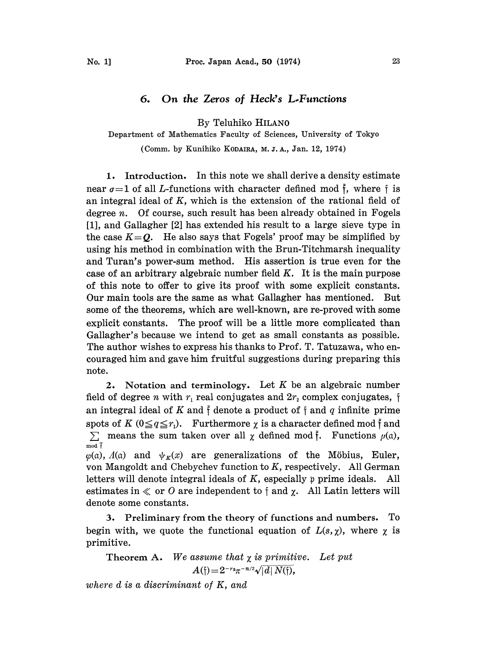## 6. On the Zeros of Heck's L-Functions

By Teluhiko HILAN0

## Department of Mathematics Faculty of Sciences, University of Tokyo

(Comm. by Kunihiko KODAIRA, M. J.A., Jan. 12, 1974)

1. Introduction. In this note we shall derive a density estimate near  $\sigma=1$  of all *L*-functions with character defined mod  $\tilde{f}$ , where f is an integral ideal of  $K$ , which is the extension of the rational field of degree  $n$ . Of course, such result has been already obtained in Fogels [1], and Gallagher [2] has extended his result to a large sieve type in the case  $K = Q$ . He also says that Fogels' proof may be simplified by using his method in combination with the Brun-Titchmarsh inequality and Turan's power-sum method. His assertion is true even for the case of an arbitrary algebraic number field  $K$ . It is the main purpose of this note to offer to give its proof with some explicit constants. Our main tools are the same as what Gallagher has mentioned. But some of the theorems, which are well-known, are re-proved with some explicit constants. The proof will be a little more complicated than Gallagher's because we intend to get as small constants as possible. The author wishes to express his thanks to Prof. T. Tatuzawa, who encouraged him and gave him fruitful suggestions during preparing this note.

2. Notation and terminology. Let  $K$  be an algebraic number field of degree *n* with  $r_1$  real conjugates and  $2r_2$  complex conjugates, f an integral ideal of K and  $\tilde{f}$  denote a product of  $\tilde{f}$  and  $q$  infinite prime spots of K  $(0 \leq q \leq r_1)$ . Furthermore  $\chi$  is a character defined mod f and  $\sum$  means the sum taken over all  $\chi$  defined mod  $\tilde{f}$ . Functions  $\mu(\alpha)$ , mod  $\tilde{f}$  $\varphi$ (a),  $\Lambda$ (a) and  $\psi_K(x)$  are generalizations of the Möbius, Euler, von Mangoldt and Chebychev function to  $K$ , respectively. All German letters will denote integral ideals of  $K$ , especially  $\gamma$  prime ideals. All estimates in  $\ll$  or O are independent to f and  $\chi$ . All Latin letters will denote some constants.

3. Preliminary from the theory of functions and numbers. To begin with, we quote the functional equation of  $L(s, \chi)$ , where  $\chi$  is primitive.

Theorem A. We assume that  $\chi$  is primitive. Let put  $A(f) = 2^{-r_2}\pi^{-n/2}\sqrt{|d| N(f)},$ 

where d is a discriminant of K, and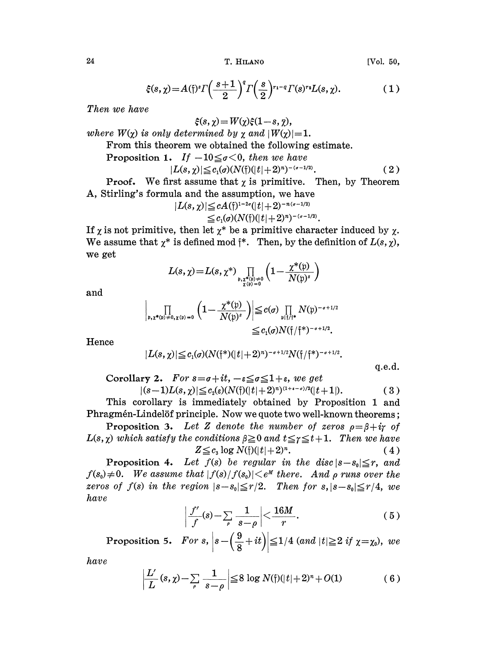24 T. HILAN0 [Vol. 50,

$$
\xi(s,\chi) = A(\mathfrak{f})^s \Gamma\left(\frac{s+1}{2}\right)^q \Gamma\left(\frac{s}{2}\right)^{r_1-q} \Gamma(s)^{r_2} L(s,\chi). \tag{1}
$$

Then we have

$$
\xi(s,\chi) = W(\chi)\xi(1-s,\chi),
$$
  
where  $W(\chi)$  is only determined by  $\chi$  and  $|W(\chi)|=1$ .

From this theorem we obtained the following estimate.

Proposition 1. If  $-10 \leq \sigma < 0$ , then we have

$$
|L(s,\chi)| \leq c_1(\sigma)(N(\tilde{t})(|t|+2)^n)^{-(\sigma-1/2)}.
$$
 (2)

**Proof.** We first assume that  $\chi$  is primitive. Then, by Theorem A, Stirling's formula and the assumption, we have

$$
|L(s,\chi)| \leq c A(\mathfrak{f})^{1-2\sigma}(|t|+2)^{-n(\sigma-1/2)} \leq c_1(\sigma)(N(\mathfrak{f})(|t|+2)^n)^{-(\sigma-1/2)}.
$$

If  $\chi$  is not primitive, then let  $\chi^*$  be a primitive character induced by  $\chi$ . We assume that  $\chi^*$  is defined mod  $\tilde{\tau}^*$ . Then, by the definition of  $L(s, \chi)$ , we get

$$
L(s, \chi) = L(s, \chi^*) \prod_{\substack{\mathfrak{x}, \chi^*(\mathfrak{p}) \neq 0 \\ \chi(\mathfrak{p}) = 0}} \left(1 - \frac{\chi^*(\mathfrak{p})}{N(\mathfrak{p})^s}\right)
$$

and

$$
\left|\prod_{\mathfrak{p},\chi^*(\mathfrak{p})\neq 0,\chi(\mathfrak{p})=0}\left(1-\frac{\chi^*(\mathfrak{p})}{N(\mathfrak{p})^s}\right)\right|\leq c(\sigma)\prod_{\mathfrak{p}\upharpoonright f/\uparrow^*}N(\mathfrak{p})^{-\sigma+1/2}\leq c_1(\sigma)N(\mathfrak{f}/\mathfrak{f}^*)^{-\sigma+1/2}.
$$

Hence

$$
|L(s,\chi)| \leq c_1(\sigma)(N(\mathfrak{f}^*)(|t|+2)^n)^{-\sigma+1/2}N(\mathfrak{f}/\mathfrak{f}^*)^{-\sigma+1/2}.
$$

 $q.e.d.$ 

Corollary 2. For  $s = \sigma + it$ ,  $-\epsilon \leq \sigma \leq 1 + \epsilon$ , we get  $|(s-1)L(s, \chi)| \leq c_2(\varepsilon)(N(\tau)(|t| + 2)^n)^{(1+\varepsilon - \sigma)/2}(|t+1|).$  (3)

This corollary is immediately obtained by Proposition 1 and Phragmén-Lindelöf principle. Now we quote two well-known theorems;

Proposition 3. Let Z denote the number of zeros  $\rho = \beta + i\gamma$  of  $L(s, \chi)$  which satisfy the conditions  $\beta \geq 0$  and  $t \leq \gamma \leq t+1$ . Then we have  $Z \leq c_3 \log N(\mathfrak{f}) (|t| + 2)^n.$  (4)

Proposition 4. Let  $f(s)$  be regular in the disc  $|s-s_0| \leq r$ , and **Proposition 4.** Let  $f(s)$  be regular in the disc  $|s-s_0| \le r$ , and  $f(s_0) \ne 0$ . We assume that  $|f(s)/f(s_0)| \le e^M$  there. And  $\rho$  runs over the zeros of  $f(s)$  in the region  $|s-s_0| \leq r/2$ . Then for  $s, |s-s_0| \leq r/4$ , we have

$$
\left|\frac{f'}{f}(s)-\sum_{\rho}\frac{1}{s-\rho}\right|<\frac{16M}{r}.\tag{5}
$$

Proposition 5. For  $s$ ,  $\left| s- \left( \frac{9}{8} + it \right) \right| \leq 1/4$  (and  $|t| \geq 2$  if  $\chi = \chi_0$ ),

have

$$
\left|\frac{L'}{L}(s,\chi)-\sum_{\rho}\frac{1}{s-\rho}\right|\leq 8\log N(\mathfrak{f})(|t|+2)^n+O(1)\tag{6}
$$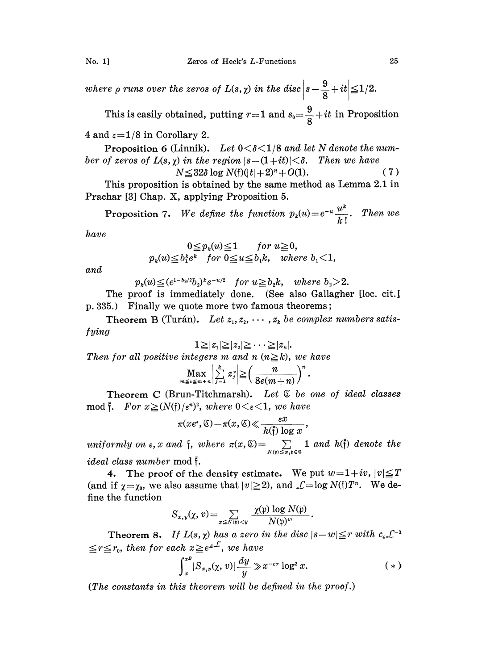where  $\rho$  runs over the zeros of  $L(s,\chi)$  in the disc  $\left|s-\frac{9}{8}+it\right|\leq 1/2.$ 

This is easily obtained, putting  $r=1$  and  $s_0=\frac{9}{8}+it$  in Proposition

4 and  $\varepsilon = 1/8$  in Corollary 2.

Proposition 6 (Linnik). Let  $0 < \delta < 1/8$  and let N denote the number of zeros of  $L(s, \gamma)$  in the region  $|s-(1+it)|<\delta$ . Then we have

$$
N \le 32\delta \log N(\mathfrak{f})(|t|+2)^n + O(1). \tag{7}
$$

This proposition is obtained by the same method as Lemma 2.1 in Prachar [3] Chap. X, applying Proposition 5.

Proposition 7. We define the function  $p_k(u) = e^{-\frac{1}{2} \int_{-\infty}^{\infty} \int_{-\infty}^{\infty} \int_{-\infty}^{\infty} \int_{-\infty}^{\infty} \int_{-\infty}^{\infty} \int_{-\infty}^{\infty} \int_{-\infty}^{\infty} \int_{-\infty}^{\infty} \int_{-\infty}^{\infty} \int_{-\infty}^{\infty} \int_{-\infty}^{\infty} \int_{-\infty}^{\infty} \int_{-\infty}^{\infty} \int_{-\infty}^{\infty}$  $\frac{u^k}{k!}$ . Then we

have

$$
0 \leq p_k(u) \leq 1 \quad \text{for } u \geq 0,
$$
  

$$
p_k(u) \leq b_1^k e^k \quad \text{for } 0 \leq u \leq b_1 k, \quad \text{where } b_1 < 1,
$$

and

$$
p_k(u) \leq (e^{1-b_2/2}b_2)^k e^{-u/2}
$$
 for  $u \geq b_2k$ , where  $b_2 > 2$ .

The proof is immediately done. (See also Gallagher [loc. cit.] p. 335.) Finally we quote more two famous theorems;

Theorem B (Turán). Let  $z_1, z_2, \cdots, z_k$  be complex numbers satisfying

$$
1{\geq}|z_1|{\geq}|z_2|{\geq}\cdots{\geq}|z_k
$$

 $1 \geq |z_1| \geq |z_2| \geq \cdots \geq |z_k|.$ Then for all positive integers m and n (n $\geq k$ ), we have

$$
\max_{m\leq \nu\leq m+n}\left|\sum\limits_{j=1}^k z_j^*\right|\!\geq\!\left(\frac{n}{8e(m\!+\!n)}\right)^n
$$

Theorem C (Brun-Titchmarsh). Let  $E$  be one of ideal classes mod  $\tilde{f}$ . For  $x \geq (N(\tilde{f})/\varepsilon^n)^2$ , where  $0 \leq \varepsilon \leq 1$ , we have

$$
\pi(xe^*,\mathfrak{C})-\pi(x,\mathfrak{C})\ll \frac{\varepsilon x}{h(\mathfrak{f})\log x}
$$

uniformly on  $\varepsilon$ , x and  $\dagger$ , where  $\pi(x, \mathfrak{S}) = \sum_{\substack{N(\mathfrak{m}) \leq x, \mathfrak{n} \in \mathfrak{S}}} 1$  and  $h(\tilde{\dagger})$  denote the  $ideal$  class number  $\operatorname{mod} \mathfrak{\tilde{f}}.$ 

4. The proof of the density estimate. We put  $w=1+iv$ ,  $|v|\leq T$ (and if  $\gamma = \gamma_0$ , we also assume that  $|v|\geq 2$ ), and  $\mathcal{L} = \log N(f)T^n$ . We de-

Then the function

\n
$$
S = \frac{\gamma(p) \log N(p)}{p}
$$

$$
S_{x,y}(\chi,v) = \sum_{x \leq N(\mathfrak{p}) < y} \frac{\chi(\mathfrak{p}) \log N(\mathfrak{p})}{N(\mathfrak{p})^w}.
$$

 $\leq$ r $\leq$ r<sub>0</sub>, then for each  $x$  $\geq$ e<sup>4</sup>, we have Theorem 8. If  $L(s, \chi)$  has a zero in the disc  $|s-w| \leq r$  with  $c_4 \mathcal{L}$ 

$$
\int_x^{x^B} |S_{x,y}(\chi,v)| \frac{dy}{y} \gg x^{-cr} \log^2 x.
$$
 (\*)

(The constants in this theorem will be defined in the proof.)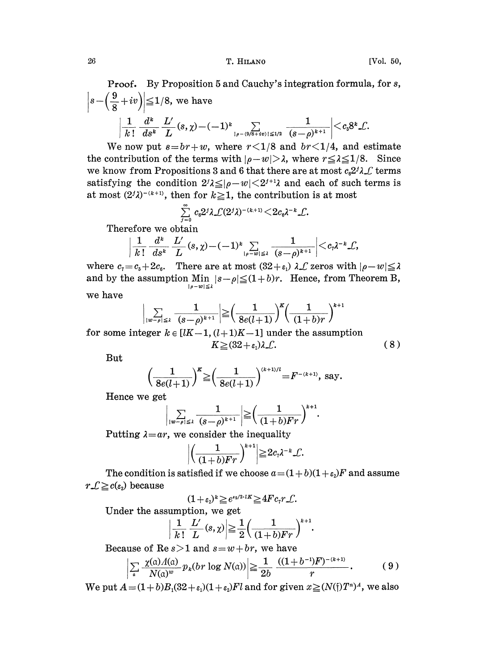26 T. HILANO [Vol. 50,

Proof. By Proposition 5 and Cauchy's integration formula, for s,  $\left| s - \left( \frac{9}{8} + iv \right) \right| \leq 1/8$ , we have  $\frac{1}{k\,!} \ \frac{d^k}{ds^k} \ \frac{L'}{L}(s,\chi) \!-\! (-1)^k \sum\limits_{|\rho - (\theta/8 + i v)| \leq 1/2} \ \frac{1}{(s\!-\!\rho)^{k+1}} \biggl| {<} c_{\mathfrak{s}} 8^k \mathcal{L}$ 

We now put  $s=br+w$ , where  $r<1/8$  and  $br<1/4$ , and estimate the contribution of the terms with  $|\rho-w| > \lambda$ , where  $r \leq \lambda \leq 1/8$ . Since we know from Propositions 3 and 6 that there are at most  $c_6 2^j \lambda \mathcal{L}$  terms satisfying the condition  $2^j \lambda \leq |\rho-w| \leq 2^{j+1} \lambda$  and each of such terms is at most  $(2^{j}\lambda)^{-(k+1)}$ , then for  $k \geq 1$ , the contribution is at most

$$
\sum_{j=0}^{\infty} c_6 2^j \lambda \mathcal{L}(2^j \lambda)^{-(k+1)} \leq 2 c_6 \lambda^{-k} \mathcal{L}.
$$

Therefore we obtain

$$
\frac{1}{k!} \frac{d^k}{ds^k} \frac{L'}{L}(s,\chi) - (-1)^k \sum_{|\rho-w|\leq \lambda} \frac{1}{(s-\rho)^{k+1}} \bigg| \bigg| < c_7 \lambda^{-k} \mathcal{L},
$$

where  $c_7 = c_5 + 2c_6$ . There are at most  $(32 + \varepsilon_1) \lambda \mathcal{L}$  zeros with  $|\rho - w| \leq \lambda$ and by the assumption  $\lim_{|s-w|\leq 2} |s-\rho| \leq (1+b)r$ . Hence, from Theorem B, we have

$$
\left|\sum_{|w-\rho|\leqslant 2^{-}}\frac{1}{(s-\rho)^{k+1}}\right|\!\geq\!\!\left(\frac{1}{8e(l\!+\!1)}\right)^{\!\!K}\!\!\left(\frac{1}{(1\!+\!b)r}\right)^{k+1}
$$

for some integer  $k \in [lK-1, (l+1)K-1]$  under the assumption<br> $K \geq (32 + \epsilon_1)\lambda \mathcal{L}.$  (8)

But

$$
\left(\frac{1}{8e(l+1)}\right)^k \geq \left(\frac{1}{8e(l+1)}\right)^{(k+1)/l} = F^{-(k+1)}, \text{ say.}
$$

Hence we get

$$
\bigg| \sum_{|w-\rho|\leq \lambda} \frac{1}{(s-\rho)^{k+1}} \bigg| \geq \bigg( \frac{1}{(1+b)Fr} \bigg)^{k+1}.
$$

Putting  $\lambda = ar$ , we consider the inequality

$$
\left|\left(\frac{1}{(1+b)Fr}\right)^{k+1}\right| \geq 2c_7\lambda^{-k}\mathcal{L}.
$$

The condition is satisfied if we choose  $a = (1 + b)(1 + \epsilon_2)F$  and assume  $r \mathcal{L} \geq c(\varepsilon_2)$  because

$$
(1+\varepsilon_2)^k \geq e^{\varepsilon_2/2 \cdot lK} \geq 4Fc_\tau r \mathcal{L}.
$$

Under the assumption, we get

$$
\left|\frac{1}{k\,!}\ \frac{L'}{L}(s,\chi)\right|\geq\frac{1}{2}\left(\frac{1}{(1+b)Fr}\right)^{k+1}
$$

Because of Re  $s > 1$  and  $s = w + br$ , we have

$$
\sum_{\mathfrak{a}} \frac{\chi(\mathfrak{a}) \Lambda(\mathfrak{a})}{N(\mathfrak{a})^w} p_k(br \log N(\mathfrak{a}) \geq \frac{1}{2b} \frac{((1+b^{-1})F)^{-(k+1)}}{r}.
$$
 (9)

We put  $A = (1 + b)B(32 + \epsilon_1)(1 + \epsilon_2)Fl$  and for given  $x \geq (N(f)T^n)^A$ , we also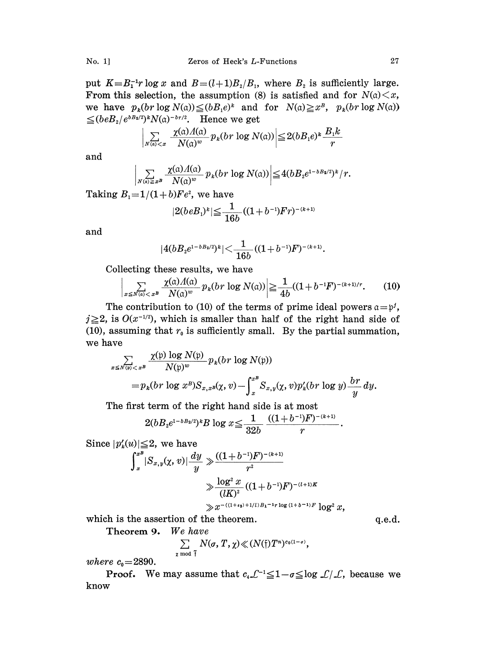put  $K=B_1^{-1}r \log x$  and  $B=(l+1)B_2/B_1$ , where  $B_2$  is sufficiently large. From this selection, the assumption (8) is satisfied and for  $N(a) \leq x$ , we have  $p_k(br \log N(\alpha)) \leq (bB_1e)^k$  and for  $N(\alpha) \geq x^B$ ,  $p_k(br \log N(\alpha))$  $\leq (beB_2/e^{bB_2/2})^k N(\alpha)^{-b r/2}$ . Hence we get

$$
\left|\sum_{N(\mathfrak{a})< x} \frac{\chi(\mathfrak{a})\Lambda(\mathfrak{a})}{N(\mathfrak{a})^w} p_k(br \log N(\mathfrak{a}))\right| \leq 2(bB_1e)^k \frac{B_1k}{r}
$$

and

$$
\sum_{N(\alpha)\geq x^B}\frac{\chi(\alpha)\Lambda(\alpha)}{N(\alpha)^w}p_k(br\log N(\alpha))\bigg|\leq 4(bB_2e^{1-bB_2/2})^k/r.
$$

Taking  $B_1 = 1/(1+b)Fe^2$ , we have

$$
|2(beB_1)^k| \leq \frac{1}{16b}((1+b^{-1})Fr)^{-(k+1)}
$$

and

$$
|4(bB_ze^{1-bB_2/2})^k|\!<\!\frac{1}{16b}((1+b^{-1})F)^{-(k+1)}.
$$

Collecting these results, we have

$$
\sum_{x \le N(\mathfrak{a}) < x^B} \frac{\chi(\mathfrak{a}) \Lambda(\mathfrak{a})}{N(\mathfrak{a})^w} p_k(br \log N(\mathfrak{a}) \ge \frac{1}{4b} ((1 + b^{-1}F)^{-(k+1)/r}).\tag{10}
$$

The contribution to (10) of the terms of prime ideal powers  $a = p<sup>j</sup>$ ,  $j \geq 2$ , is  $O(x^{-1/2})$ , which is smaller than half of the right hand side of (10), assuming that  $r_0$  is sufficiently small. By the partial summation, we have

$$
\operatorname{ave}_{x \leq N(\mathfrak{p}) < x^B} \frac{\chi(\mathfrak{p}) \log N(\mathfrak{p})}{N(\mathfrak{p})^w} p_k(br \log N(\mathfrak{p}))
$$
\n
$$
= p_k(br \log x^B) S_{x,x^B}(\chi, v) - \int_x^{x^B} S_{x,y}(\chi, v) p'_k(br \log y) \frac{br}{y} dy.
$$

The first term of the right hand side is at most

$$
D_k(br \log x^B)S_{x,x^B}(\chi, v) - \int_x S_{x,y}(\chi, v)p'_k(br \log y) \n\text{ term of the right hand side is at most} \n2(bB_2e^{1-bB_2/2})^kB \log x \leq \frac{1}{32b} \frac{((1+b^{-1})F)^{-(k+1)}}{r}.
$$

Since  $|p'_k(u)| \leq 2$ , we have

$$
\int_x^{x^B} |S_{x,y}(\chi, v)| \frac{dy}{y} \gg \frac{((1+b^{-1})F)^{-(k+1)}}{r^2}
$$
  

$$
\gg \frac{\log^2 x}{(lK)^2} ((1+b^{-1})F)^{-(l+1)K}
$$
  

$$
\gg x^{-(1+\epsilon_3)+1/l)B_1-1} \log (1+b^{-1})F \log^2 x,
$$

which is the assertion of the theorem.

Theorem 9. We have

$$
\sum_{\substack{\chi \bmod{\tilde{\gamma}}}} N(\sigma,\,T,\,\chi) \!\ll (N(\mathfrak{f})\,T^n)^{c_0(1-\sigma)},
$$

where  $c_0 = 2890$ .

**Proof.** We may assume that  $c_4 \mathcal{L}^{-1} \leq 1 - \sigma \leq \log \mathcal{L}/\mathcal{L}$ , because we know

 $q.e.d.$